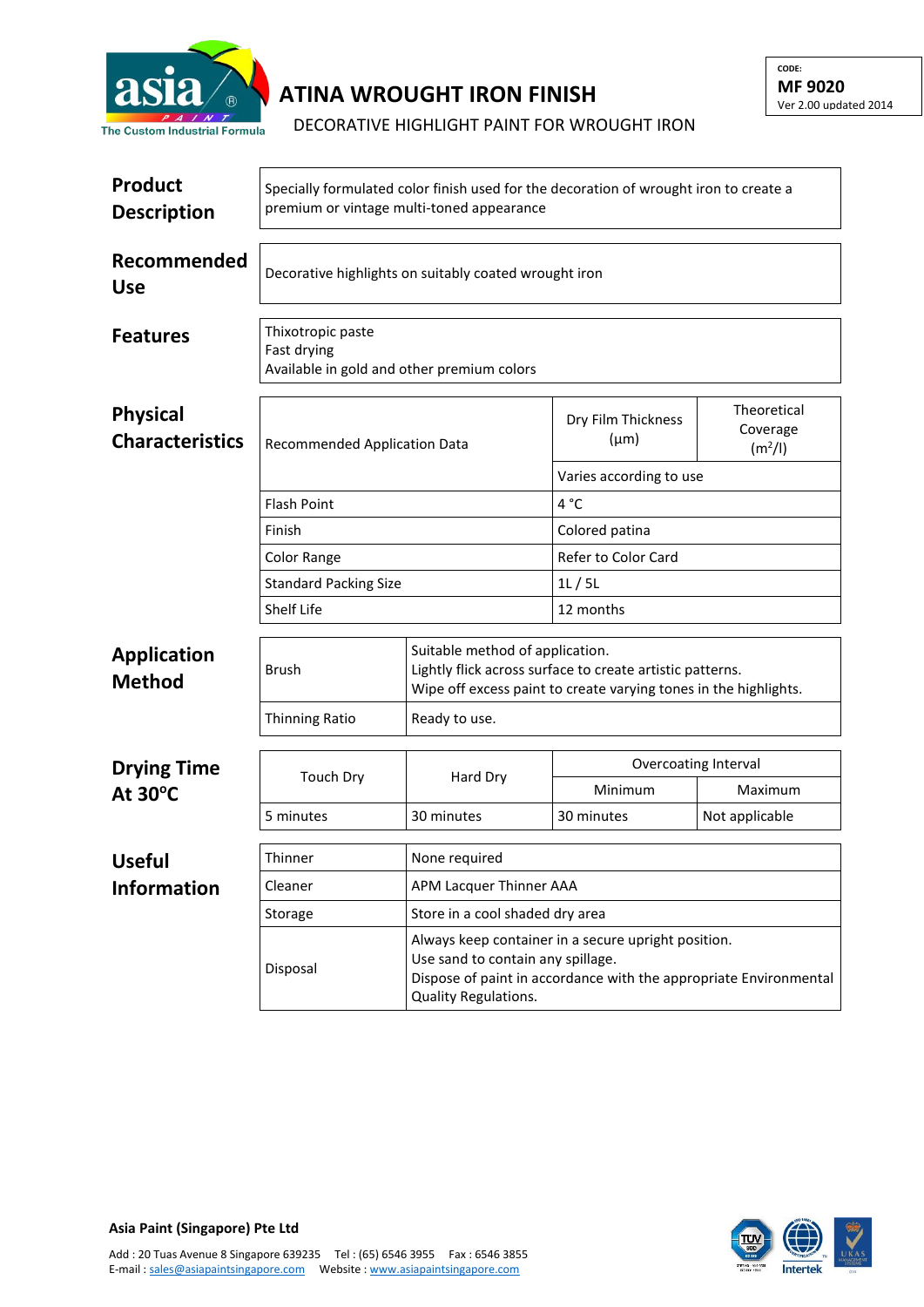

## **ATINA WROUGHT IRON FINISH**

DECORATIVE HIGHLIGHT PAINT FOR WROUGHT IRON

| <b>Product</b><br><b>Description</b>      | Specially formulated color finish used for the decoration of wrought iron to create a<br>premium or vintage multi-toned appearance |                                                                                                                                                                                       |                                 |                                                |  |  |
|-------------------------------------------|------------------------------------------------------------------------------------------------------------------------------------|---------------------------------------------------------------------------------------------------------------------------------------------------------------------------------------|---------------------------------|------------------------------------------------|--|--|
| Recommended<br><b>Use</b>                 | Decorative highlights on suitably coated wrought iron                                                                              |                                                                                                                                                                                       |                                 |                                                |  |  |
| <b>Features</b>                           | Thixotropic paste<br>Fast drying<br>Available in gold and other premium colors                                                     |                                                                                                                                                                                       |                                 |                                                |  |  |
| <b>Physical</b><br><b>Characteristics</b> | Recommended Application Data                                                                                                       |                                                                                                                                                                                       | Dry Film Thickness<br>$(\mu m)$ | Theoretical<br>Coverage<br>(m <sup>2</sup> /I) |  |  |
|                                           |                                                                                                                                    |                                                                                                                                                                                       | Varies according to use         |                                                |  |  |
|                                           | Flash Point                                                                                                                        |                                                                                                                                                                                       | 4°C                             |                                                |  |  |
|                                           | Finish                                                                                                                             |                                                                                                                                                                                       | Colored patina                  |                                                |  |  |
|                                           | Color Range                                                                                                                        |                                                                                                                                                                                       | Refer to Color Card             |                                                |  |  |
|                                           | <b>Standard Packing Size</b>                                                                                                       |                                                                                                                                                                                       | 1L/5L                           |                                                |  |  |
|                                           | Shelf Life                                                                                                                         |                                                                                                                                                                                       | 12 months                       |                                                |  |  |
| <b>Application</b><br><b>Method</b>       | <b>Brush</b>                                                                                                                       | Suitable method of application.<br>Lightly flick across surface to create artistic patterns.<br>Wipe off excess paint to create varying tones in the highlights.                      |                                 |                                                |  |  |
|                                           | <b>Thinning Ratio</b>                                                                                                              | Ready to use.                                                                                                                                                                         |                                 |                                                |  |  |
| <b>Drying Time</b><br>At 30°C             | <b>Touch Dry</b>                                                                                                                   | Hard Dry                                                                                                                                                                              | Overcoating Interval            |                                                |  |  |
|                                           |                                                                                                                                    |                                                                                                                                                                                       | Minimum                         | Maximum                                        |  |  |
|                                           | 5 minutes                                                                                                                          | 30 minutes                                                                                                                                                                            | 30 minutes                      | Not applicable                                 |  |  |
| <b>Useful</b>                             | Thinner                                                                                                                            | None required                                                                                                                                                                         |                                 |                                                |  |  |
| <b>Information</b>                        | APM Lacquer Thinner AAA<br>Cleaner                                                                                                 |                                                                                                                                                                                       |                                 |                                                |  |  |
|                                           | Storage                                                                                                                            | Store in a cool shaded dry area                                                                                                                                                       |                                 |                                                |  |  |
|                                           | Disposal                                                                                                                           | Always keep container in a secure upright position.<br>Use sand to contain any spillage.<br>Dispose of paint in accordance with the appropriate Environmental<br>Quality Regulations. |                                 |                                                |  |  |